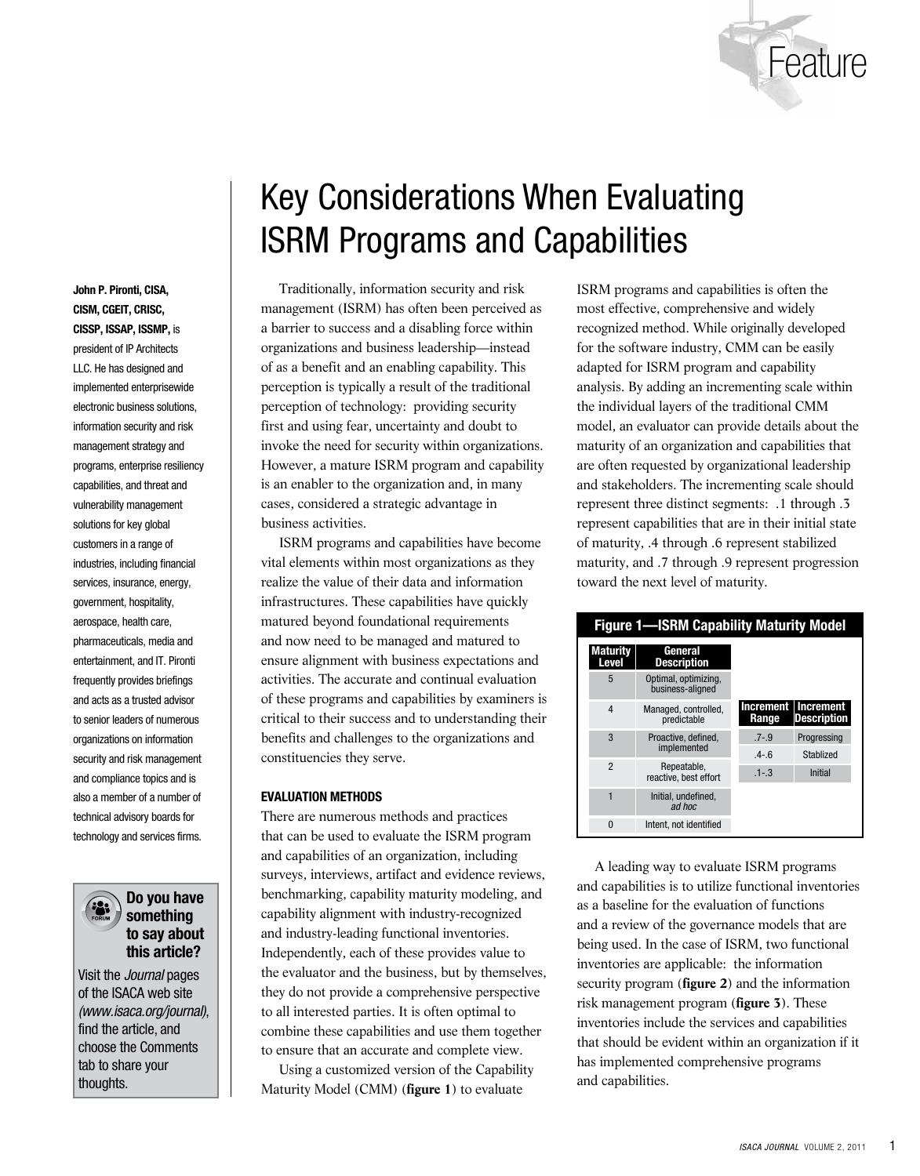

# Key Considerations When Evaluating ISRM Programs and Capabilities

Traditionally, information security and risk management (ISRM) has often been perceived as a barrier to success and a disabling force within organizations and business leadership—instead of as a benefit and an enabling capability. This perception is typically a result of the traditional perception of technology: providing security first and using fear, uncertainty and doubt to invoke the need for security within organizations. However, a mature ISRM program and capability is an enabler to the organization and, in many cases, considered a strategic advantage in business activities.

ISRM programs and capabilities have become vital elements within most organizations as they realize the value of their data and information infrastructures. These capabilities have quickly matured beyond foundational requirements and now need to be managed and matured to ensure alignment with business expectations and activities. The accurate and continual evaluation of these programs and capabilities by examiners is critical to their success and to understanding their benefits and challenges to the organizations and constituencies they serve.

## **EVALUATION METHODS**

There are numerous methods and practices that can be used to evaluate the ISRM program and capabilities of an organization, including surveys, interviews, artifact and evidence reviews, benchmarking, capability maturity modeling, and capability alignment with industry-recognized and industry-leading functional inventories. Independently, each of these provides value to the evaluator and the business, but by themselves, they do not provide a comprehensive perspective to all interested parties. It is often optimal to combine these capabilities and use them together to ensure that an accurate and complete view.

Using a customized version of the Capability Maturity Model (CMM) (**figure 1**) to evaluate

ISRM programs and capabilities is often the most effective, comprehensive and widely recognized method. While originally developed for the software industry, CMM can be easily adapted for ISRM program and capability analysis. By adding an incrementing scale within the individual layers of the traditional CMM model, an evaluator can provide details about the maturity of an organization and capabilities that are often requested by organizational leadership and stakeholders. The incrementing scale should represent three distinct segments: .1 through .3 represent capabilities that are in their initial state of maturity, .4 through .6 represent stabilized maturity, and .7 through .9 represent progression toward the next level of maturity.

# **Figure 1—ISRM Capability Maturity Model**

| <b>Maturity</b><br>Level | General<br><b>Description</b>            |           |                                             |
|--------------------------|------------------------------------------|-----------|---------------------------------------------|
| 5                        | Optimal, optimizing,<br>business-aligned |           |                                             |
| 4                        | Managed, controlled,<br>predictable      | Range     | Increment   Increment<br><b>Description</b> |
| 3                        | Proactive, defined.<br>implemented       | $.7 - .9$ | Progressing                                 |
|                          |                                          | $4 - 6$   | Stablized                                   |
| $\mathfrak{p}$           | Repeatable.<br>reactive, best effort     | $.1 - .3$ | <b>Initial</b>                              |
| 1                        | Initial, undefined.<br>ad hoc            |           |                                             |
| $\Omega$                 | Intent, not identified                   |           |                                             |

A leading way to evaluate ISRM programs and capabilities is to utilize functional inventories as a baseline for the evaluation of functions and a review of the governance models that are being used. In the case of ISRM, two functional inventories are applicable: the information security program (**figure 2**) and the information risk management program (**figure 3**). These inventories include the services and capabilities that should be evident within an organization if it has implemented comprehensive programs and capabilities.

**CISM, CGEIT, CRISC, CISSP, ISSAP, ISSMP,** is president of IP Architects LLC. He has designed and implemented enterprisewide electronic business solutions, information security and risk management strategy and programs, enterprise resiliency capabilities, and threat and vulnerability management solutions for key global customers in a range of industries, including financial services, insurance, energy, government, hospitality, aerospace, health care, pharmaceuticals, media and entertainment, and IT. Pironti frequently provides briefings and acts as a trusted advisor to senior leaders of numerous organizations on information security and risk management and compliance topics and is also a member of a number of technical advisory boards for technology and services firms.

**John P. Pironti, CISA,** 



# **Do you have something to say about this article?**

Visit the *Journal* pages of the ISACA web site (www.isaca.org/journal), find the article, and choose the Comments tab to share your thoughts.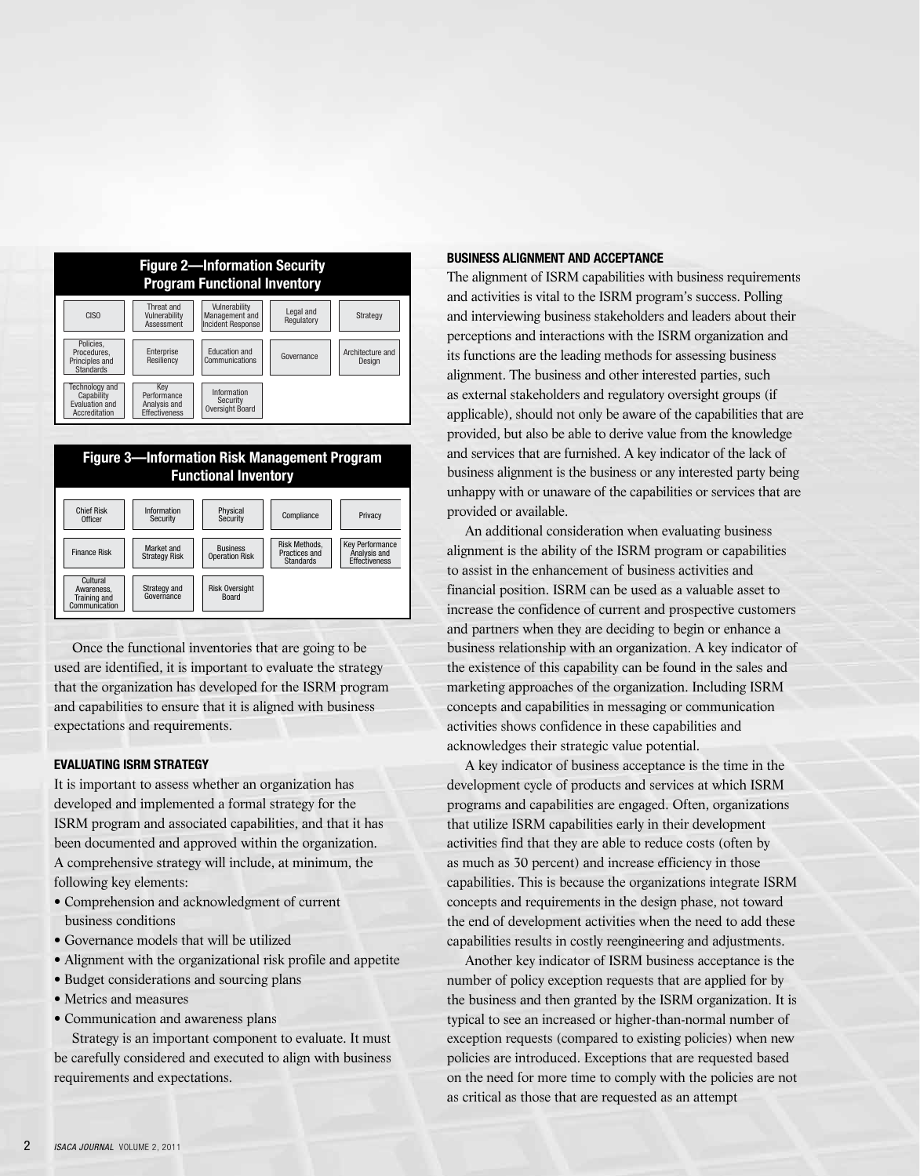| <b>Figure 2-Information Security</b><br><b>Program Functional Inventory</b> |                                                            |                                                             |                         |                            |
|-----------------------------------------------------------------------------|------------------------------------------------------------|-------------------------------------------------------------|-------------------------|----------------------------|
| <b>CISO</b>                                                                 | Threat and<br>Vulnerability<br>Assessment                  | Vulnerability<br>Management and<br><b>Incident Response</b> | Legal and<br>Regulatory | Strategy                   |
| Policies.<br>Procedures.<br>Principles and<br><b>Standards</b>              | Enterprise<br>Resiliency                                   | Education and<br>Communications                             | Governance              | Architecture and<br>Design |
| <b>Technology and</b><br>Capability<br>Evaluation and<br>Accreditation      | Kev<br>Performance<br>Analysis and<br><b>Effectiveness</b> | Information<br>Security<br>Oversight Board                  |                         |                            |



Once the functional inventories that are going to be used are identified, it is important to evaluate the strategy that the organization has developed for the ISRM program and capabilities to ensure that it is aligned with business expectations and requirements.

## **EVALUATING ISRM STRATEGY**

It is important to assess whether an organization has developed and implemented a formal strategy for the ISRM program and associated capabilities, and that it has been documented and approved within the organization. A comprehensive strategy will include, at minimum, the following key elements:

- Comprehension and acknowledgment of current business conditions
- Governance models that will be utilized
- Alignment with the organizational risk profile and appetite
- Budget considerations and sourcing plans
- Metrics and measures
- Communication and awareness plans

Strategy is an important component to evaluate. It must be carefully considered and executed to align with business requirements and expectations.

#### **BUSINESS ALIGNMENT AND ACCEPTANCE**

The alignment of ISRM capabilities with business requirements and activities is vital to the ISRM program's success. Polling and interviewing business stakeholders and leaders about their perceptions and interactions with the ISRM organization and its functions are the leading methods for assessing business alignment. The business and other interested parties, such as external stakeholders and regulatory oversight groups (if applicable), should not only be aware of the capabilities that are provided, but also be able to derive value from the knowledge and services that are furnished. A key indicator of the lack of business alignment is the business or any interested party being unhappy with or unaware of the capabilities or services that are provided or available.

An additional consideration when evaluating business alignment is the ability of the ISRM program or capabilities to assist in the enhancement of business activities and financial position. ISRM can be used as a valuable asset to increase the confidence of current and prospective customers and partners when they are deciding to begin or enhance a business relationship with an organization. A key indicator of the existence of this capability can be found in the sales and marketing approaches of the organization. Including ISRM concepts and capabilities in messaging or communication activities shows confidence in these capabilities and acknowledges their strategic value potential.

A key indicator of business acceptance is the time in the development cycle of products and services at which ISRM programs and capabilities are engaged. Often, organizations that utilize ISRM capabilities early in their development activities find that they are able to reduce costs (often by as much as 30 percent) and increase efficiency in those capabilities. This is because the organizations integrate ISRM concepts and requirements in the design phase, not toward the end of development activities when the need to add these capabilities results in costly reengineering and adjustments.

Another key indicator of ISRM business acceptance is the number of policy exception requests that are applied for by the business and then granted by the ISRM organization. It is typical to see an increased or higher-than-normal number of exception requests (compared to existing policies) when new policies are introduced. Exceptions that are requested based on the need for more time to comply with the policies are not as critical as those that are requested as an attempt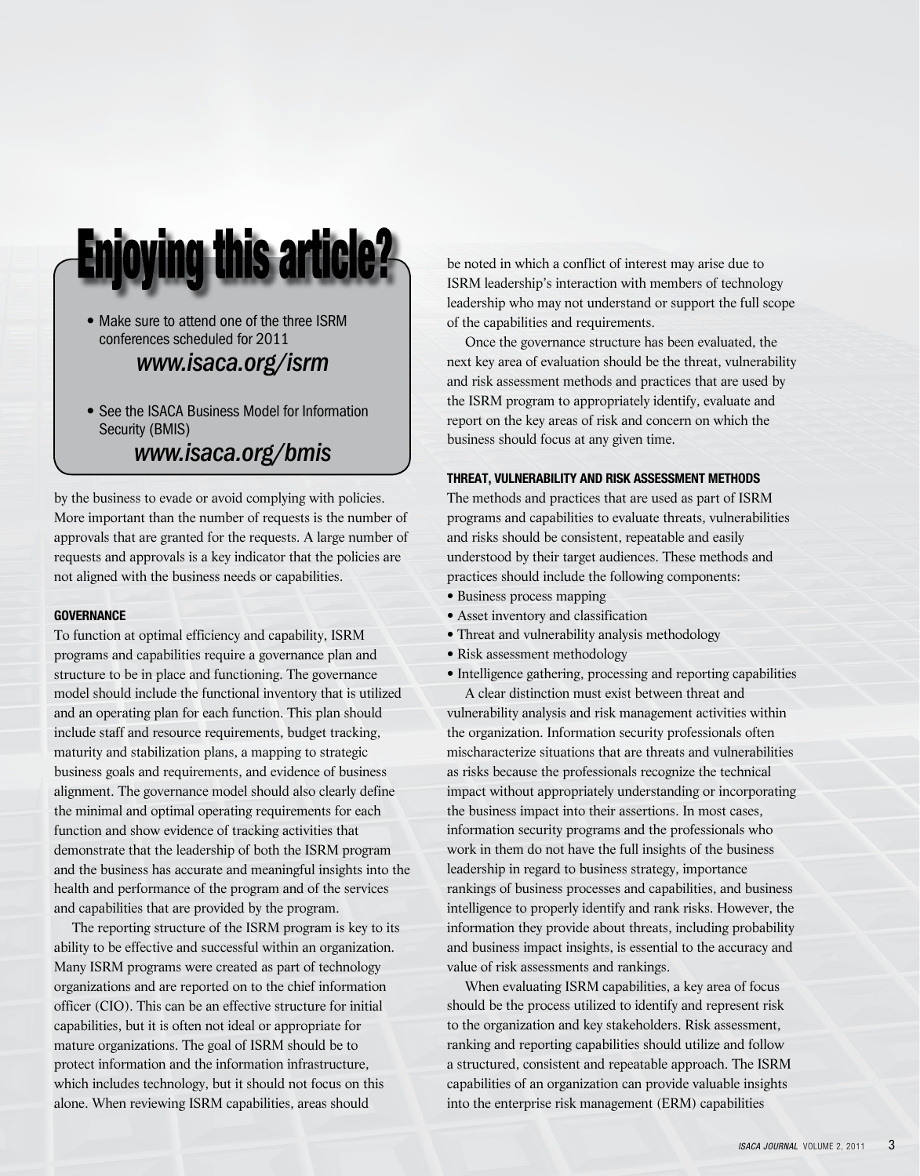

• Make sure to attend one of the three ISRM conferences scheduled for 2011

# *www.isaca.org/isrm*

• See the ISACA Business Model for Information Security (BMIS)

# *www.isaca.org/bmis*

by the business to evade or avoid complying with policies. More important than the number of requests is the number of approvals that are granted for the requests. A large number of requests and approvals is a key indicator that the policies are not aligned with the business needs or capabilities.

## **GOVERNANCE**

To function at optimal efficiency and capability, ISRM programs and capabilities require a governance plan and structure to be in place and functioning. The governance model should include the functional inventory that is utilized and an operating plan for each function. This plan should include staff and resource requirements, budget tracking, maturity and stabilization plans, a mapping to strategic business goals and requirements, and evidence of business alignment. The governance model should also clearly define the minimal and optimal operating requirements for each function and show evidence of tracking activities that demonstrate that the leadership of both the ISRM program and the business has accurate and meaningful insights into the health and performance of the program and of the services and capabilities that are provided by the program.

The reporting structure of the ISRM program is key to its ability to be effective and successful within an organization. Many ISRM programs were created as part of technology organizations and are reported on to the chief information officer (CIO). This can be an effective structure for initial capabilities, but it is often not ideal or appropriate for mature organizations. The goal of ISRM should be to protect information and the information infrastructure, which includes technology, but it should not focus on this alone. When reviewing ISRM capabilities, areas should

be noted in which a conflict of interest may arise due to ISRM leadership's interaction with members of technology leadership who may not understand or support the full scope of the capabilities and requirements.

Once the governance structure has been evaluated, the next key area of evaluation should be the threat, vulnerability and risk assessment methods and practices that are used by the ISRM program to appropriately identify, evaluate and report on the key areas of risk and concern on which the business should focus at any given time.

## **THREAT, VULNERABILITY AND RISK ASSESSMENT METHODS**

The methods and practices that are used as part of ISRM programs and capabilities to evaluate threats, vulnerabilities and risks should be consistent, repeatable and easily understood by their target audiences. These methods and practices should include the following components:

- Business process mapping
- Asset inventory and classification
- Threat and vulnerability analysis methodology
- Risk assessment methodology
- Intelligence gathering, processing and reporting capabilities

A clear distinction must exist between threat and vulnerability analysis and risk management activities within the organization. Information security professionals often mischaracterize situations that are threats and vulnerabilities as risks because the professionals recognize the technical impact without appropriately understanding or incorporating the business impact into their assertions. In most cases, information security programs and the professionals who work in them do not have the full insights of the business leadership in regard to business strategy, importance rankings of business processes and capabilities, and business intelligence to properly identify and rank risks. However, the information they provide about threats, including probability and business impact insights, is essential to the accuracy and value of risk assessments and rankings.

When evaluating ISRM capabilities, a key area of focus should be the process utilized to identify and represent risk to the organization and key stakeholders. Risk assessment, ranking and reporting capabilities should utilize and follow a structured, consistent and repeatable approach. The ISRM capabilities of an organization can provide valuable insights into the enterprise risk management (ERM) capabilities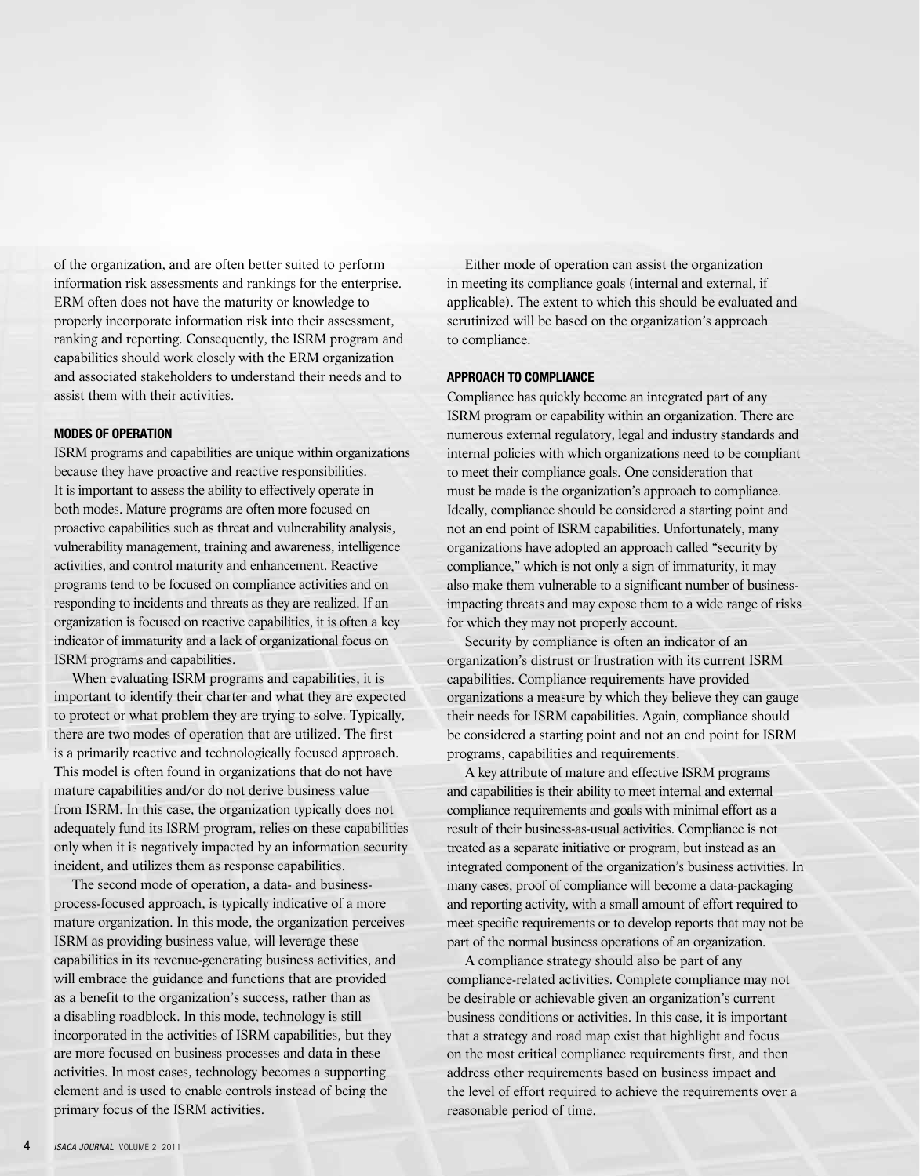of the organization, and are often better suited to perform information risk assessments and rankings for the enterprise. ERM often does not have the maturity or knowledge to properly incorporate information risk into their assessment, ranking and reporting. Consequently, the ISRM program and capabilities should work closely with the ERM organization and associated stakeholders to understand their needs and to assist them with their activities.

#### **MODES OF OPERATION**

ISRM programs and capabilities are unique within organizations because they have proactive and reactive responsibilities. It is important to assess the ability to effectively operate in both modes. Mature programs are often more focused on proactive capabilities such as threat and vulnerability analysis, vulnerability management, training and awareness, intelligence activities, and control maturity and enhancement. Reactive programs tend to be focused on compliance activities and on responding to incidents and threats as they are realized. If an organization is focused on reactive capabilities, it is often a key indicator of immaturity and a lack of organizational focus on ISRM programs and capabilities.

When evaluating ISRM programs and capabilities, it is important to identify their charter and what they are expected to protect or what problem they are trying to solve. Typically, there are two modes of operation that are utilized. The first is a primarily reactive and technologically focused approach. This model is often found in organizations that do not have mature capabilities and/or do not derive business value from ISRM. In this case, the organization typically does not adequately fund its ISRM program, relies on these capabilities only when it is negatively impacted by an information security incident, and utilizes them as response capabilities.

The second mode of operation, a data- and businessprocess-focused approach, is typically indicative of a more mature organization. In this mode, the organization perceives ISRM as providing business value, will leverage these capabilities in its revenue-generating business activities, and will embrace the guidance and functions that are provided as a benefit to the organization's success, rather than as a disabling roadblock. In this mode, technology is still incorporated in the activities of ISRM capabilities, but they are more focused on business processes and data in these activities. In most cases, technology becomes a supporting element and is used to enable controls instead of being the primary focus of the ISRM activities.

Either mode of operation can assist the organization in meeting its compliance goals (internal and external, if applicable). The extent to which this should be evaluated and scrutinized will be based on the organization's approach to compliance.

#### **APPROACH TO COMPLIANCE**

Compliance has quickly become an integrated part of any ISRM program or capability within an organization. There are numerous external regulatory, legal and industry standards and internal policies with which organizations need to be compliant to meet their compliance goals. One consideration that must be made is the organization's approach to compliance. Ideally, compliance should be considered a starting point and not an end point of ISRM capabilities. Unfortunately, many organizations have adopted an approach called "security by compliance," which is not only a sign of immaturity, it may also make them vulnerable to a significant number of businessimpacting threats and may expose them to a wide range of risks for which they may not properly account.

Security by compliance is often an indicator of an organization's distrust or frustration with its current ISRM capabilities. Compliance requirements have provided organizations a measure by which they believe they can gauge their needs for ISRM capabilities. Again, compliance should be considered a starting point and not an end point for ISRM programs, capabilities and requirements.

A key attribute of mature and effective ISRM programs and capabilities is their ability to meet internal and external compliance requirements and goals with minimal effort as a result of their business-as-usual activities. Compliance is not treated as a separate initiative or program, but instead as an integrated component of the organization's business activities. In many cases, proof of compliance will become a data-packaging and reporting activity, with a small amount of effort required to meet specific requirements or to develop reports that may not be part of the normal business operations of an organization.

A compliance strategy should also be part of any compliance-related activities. Complete compliance may not be desirable or achievable given an organization's current business conditions or activities. In this case, it is important that a strategy and road map exist that highlight and focus on the most critical compliance requirements first, and then address other requirements based on business impact and the level of effort required to achieve the requirements over a reasonable period of time.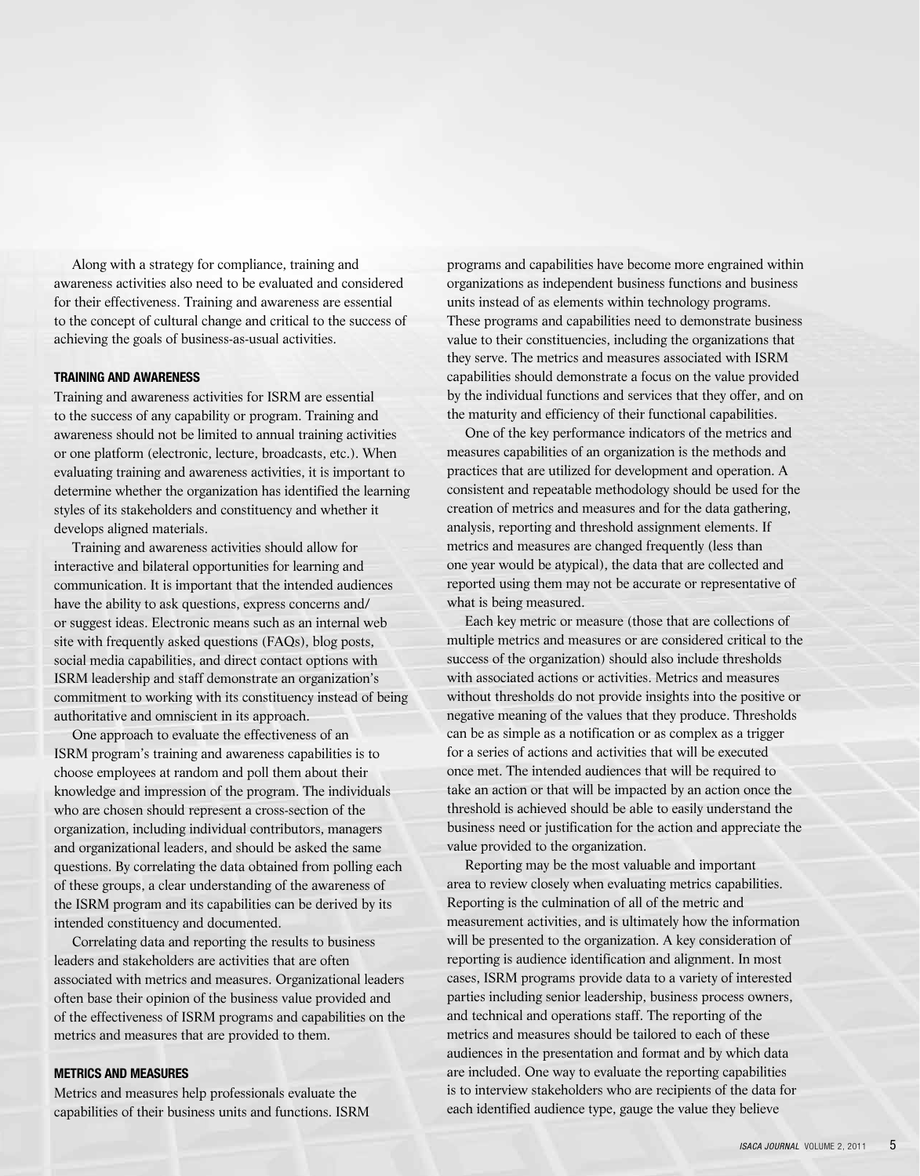Along with a strategy for compliance, training and awareness activities also need to be evaluated and considered for their effectiveness. Training and awareness are essential to the concept of cultural change and critical to the success of achieving the goals of business-as-usual activities.

#### **TRAINING AND AWARENESS**

Training and awareness activities for ISRM are essential to the success of any capability or program. Training and awareness should not be limited to annual training activities or one platform (electronic, lecture, broadcasts, etc.). When evaluating training and awareness activities, it is important to determine whether the organization has identified the learning styles of its stakeholders and constituency and whether it develops aligned materials.

Training and awareness activities should allow for interactive and bilateral opportunities for learning and communication. It is important that the intended audiences have the ability to ask questions, express concerns and/ or suggest ideas. Electronic means such as an internal web site with frequently asked questions (FAQs), blog posts, social media capabilities, and direct contact options with ISRM leadership and staff demonstrate an organization's commitment to working with its constituency instead of being authoritative and omniscient in its approach.

One approach to evaluate the effectiveness of an ISRM program's training and awareness capabilities is to choose employees at random and poll them about their knowledge and impression of the program. The individuals who are chosen should represent a cross-section of the organization, including individual contributors, managers and organizational leaders, and should be asked the same questions. By correlating the data obtained from polling each of these groups, a clear understanding of the awareness of the ISRM program and its capabilities can be derived by its intended constituency and documented.

Correlating data and reporting the results to business leaders and stakeholders are activities that are often associated with metrics and measures. Organizational leaders often base their opinion of the business value provided and of the effectiveness of ISRM programs and capabilities on the metrics and measures that are provided to them.

#### **METRICS AND MEASURES**

Metrics and measures help professionals evaluate the capabilities of their business units and functions. ISRM programs and capabilities have become more engrained within organizations as independent business functions and business units instead of as elements within technology programs. These programs and capabilities need to demonstrate business value to their constituencies, including the organizations that they serve. The metrics and measures associated with ISRM capabilities should demonstrate a focus on the value provided by the individual functions and services that they offer, and on the maturity and efficiency of their functional capabilities.

One of the key performance indicators of the metrics and measures capabilities of an organization is the methods and practices that are utilized for development and operation. A consistent and repeatable methodology should be used for the creation of metrics and measures and for the data gathering, analysis, reporting and threshold assignment elements. If metrics and measures are changed frequently (less than one year would be atypical), the data that are collected and reported using them may not be accurate or representative of what is being measured.

Each key metric or measure (those that are collections of multiple metrics and measures or are considered critical to the success of the organization) should also include thresholds with associated actions or activities. Metrics and measures without thresholds do not provide insights into the positive or negative meaning of the values that they produce. Thresholds can be as simple as a notification or as complex as a trigger for a series of actions and activities that will be executed once met. The intended audiences that will be required to take an action or that will be impacted by an action once the threshold is achieved should be able to easily understand the business need or justification for the action and appreciate the value provided to the organization.

Reporting may be the most valuable and important area to review closely when evaluating metrics capabilities. Reporting is the culmination of all of the metric and measurement activities, and is ultimately how the information will be presented to the organization. A key consideration of reporting is audience identification and alignment. In most cases, ISRM programs provide data to a variety of interested parties including senior leadership, business process owners, and technical and operations staff. The reporting of the metrics and measures should be tailored to each of these audiences in the presentation and format and by which data are included. One way to evaluate the reporting capabilities is to interview stakeholders who are recipients of the data for each identified audience type, gauge the value they believe